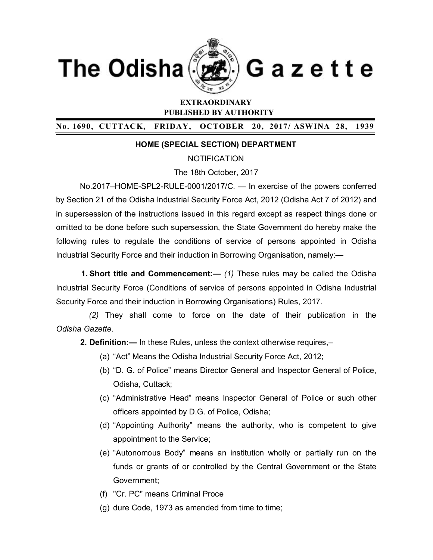



Gazette

# **EXTRAORDINARY PUBLISHED BY AUTHORITY**

# **No. 1690, CUTTACK, FRIDAY, OCTOBER 20, 2017/ ASWINA 28, 1939**

## **HOME (SPECIAL SECTION) DEPARTMENT**

**NOTIFICATION** 

The 18th October, 2017

No.2017–HOME-SPL2-RULE-0001/2017/C. — In exercise of the powers conferred by Section 21 of the Odisha Industrial Security Force Act, 2012 (Odisha Act 7 of 2012) and in supersession of the instructions issued in this regard except as respect things done or omitted to be done before such supersession, the State Government do hereby make the following rules to regulate the conditions of service of persons appointed in Odisha Industrial Security Force and their induction in Borrowing Organisation, namely:—

**1. Short title and Commencement:—** *(1)* These rules may be called the Odisha Industrial Security Force (Conditions of service of persons appointed in Odisha Industrial Security Force and their induction in Borrowing Organisations) Rules, 2017.

 *(2)* They shall come to force on the date of their publication in the *Odisha Gazette*.

**2. Definition:—** In these Rules, unless the context otherwise requires,–

- (a) "Act" Means the Odisha Industrial Security Force Act, 2012;
- (b) "D. G. of Police" means Director General and Inspector General of Police, Odisha, Cuttack;
- (c) "Administrative Head" means Inspector General of Police or such other officers appointed by D.G. of Police, Odisha;
- (d) "Appointing Authority" means the authority, who is competent to give appointment to the Service;
- (e) "Autonomous Body" means an institution wholly or partially run on the funds or grants of or controlled by the Central Government or the State Government;
- (f) "Cr. PC" means Criminal Proce
- (g) dure Code, 1973 as amended from time to time;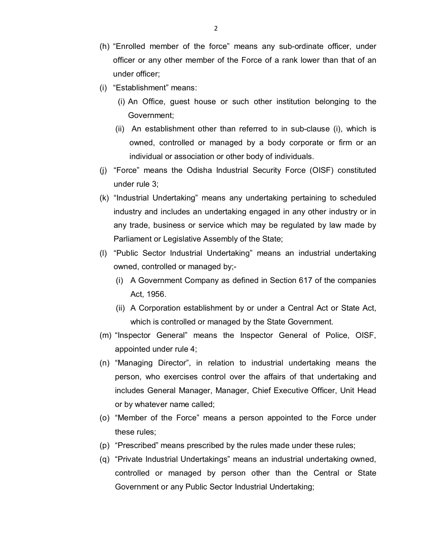- (h) "Enrolled member of the force" means any sub-ordinate officer, under officer or any other member of the Force of a rank lower than that of an under officer;
- (i) "Establishment" means:
	- (i) An Office, guest house or such other institution belonging to the Government;
	- (ii) An establishment other than referred to in sub-clause (i), which is owned, controlled or managed by a body corporate or firm or an individual or association or other body of individuals.
- (j) "Force" means the Odisha Industrial Security Force (OISF) constituted under rule 3;
- (k) "Industrial Undertaking" means any undertaking pertaining to scheduled industry and includes an undertaking engaged in any other industry or in any trade, business or service which may be regulated by law made by Parliament or Legislative Assembly of the State;
- (l) "Public Sector Industrial Undertaking" means an industrial undertaking owned, controlled or managed by;-
	- (i) A Government Company as defined in Section 617 of the companies Act, 1956.
	- (ii) A Corporation establishment by or under a Central Act or State Act, which is controlled or managed by the State Government.
- (m) "Inspector General" means the Inspector General of Police, OISF, appointed under rule 4;
- (n) "Managing Director", in relation to industrial undertaking means the person, who exercises control over the affairs of that undertaking and includes General Manager, Manager, Chief Executive Officer, Unit Head or by whatever name called;
- (o) "Member of the Force" means a person appointed to the Force under these rules;
- (p) "Prescribed" means prescribed by the rules made under these rules;
- (q) "Private Industrial Undertakings" means an industrial undertaking owned, controlled or managed by person other than the Central or State Government or any Public Sector Industrial Undertaking;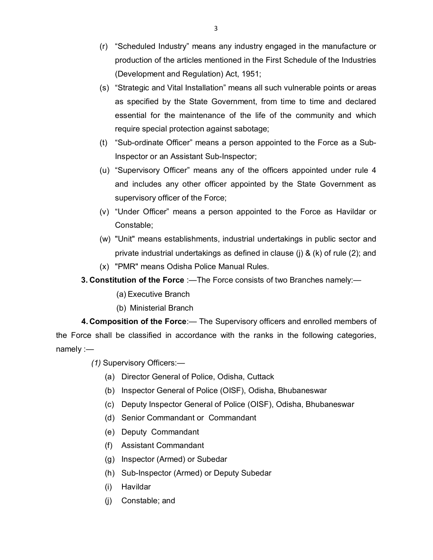- (r) "Scheduled Industry" means any industry engaged in the manufacture or production of the articles mentioned in the First Schedule of the Industries (Development and Regulation) Act, 1951;
- (s) "Strategic and Vital Installation" means all such vulnerable points or areas as specified by the State Government, from time to time and declared essential for the maintenance of the life of the community and which require special protection against sabotage;
- (t) "Sub-ordinate Officer" means a person appointed to the Force as a Sub-Inspector or an Assistant Sub-Inspector;
- (u) "Supervisory Officer" means any of the officers appointed under rule 4 and includes any other officer appointed by the State Government as supervisory officer of the Force;
- (v) "Under Officer" means a person appointed to the Force as Havildar or Constable;
- (w) "Unit" means establishments, industrial undertakings in public sector and private industrial undertakings as defined in clause (j) & (k) of rule (2); and
- (x) "PMR" means Odisha Police Manual Rules.
- **3. Constitution of the Force** :—The Force consists of two Branches namely:—
	- (a) Executive Branch
	- (b) Ministerial Branch

**4. Composition of the Force**:— The Supervisory officers and enrolled members of the Force shall be classified in accordance with the ranks in the following categories, namely :—

*(1)* Supervisory Officers:—

- (a) Director General of Police, Odisha, Cuttack
- (b) Inspector General of Police (OISF), Odisha, Bhubaneswar
- (c) Deputy Inspector General of Police (OISF), Odisha, Bhubaneswar
- (d) Senior Commandant or Commandant
- (e) Deputy Commandant
- (f) Assistant Commandant
- (g) Inspector (Armed) or Subedar
- (h) Sub-Inspector (Armed) or Deputy Subedar
- (i) Havildar
- (j) Constable; and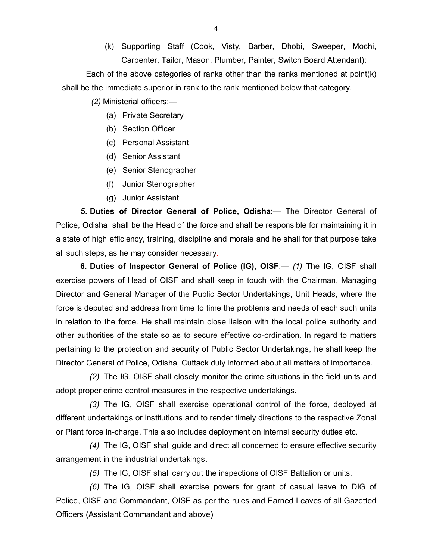(k) Supporting Staff (Cook, Visty, Barber, Dhobi, Sweeper, Mochi, Carpenter, Tailor, Mason, Plumber, Painter, Switch Board Attendant):

Each of the above categories of ranks other than the ranks mentioned at point(k) shall be the immediate superior in rank to the rank mentioned below that category.

 *(2)* Ministerial officers:—

- (a) Private Secretary
- (b) Section Officer
- (c) Personal Assistant
- (d) Senior Assistant
- (e) Senior Stenographer
- (f) Junior Stenographer
- (g) Junior Assistant

**5. Duties of Director General of Police, Odisha**:— The Director General of Police, Odisha shall be the Head of the force and shall be responsible for maintaining it in a state of high efficiency, training, discipline and morale and he shall for that purpose take all such steps, as he may consider necessary.

**6. Duties of Inspector General of Police (IG), OISF**:— *(1)* The IG, OISF shall exercise powers of Head of OISF and shall keep in touch with the Chairman, Managing Director and General Manager of the Public Sector Undertakings, Unit Heads, where the force is deputed and address from time to time the problems and needs of each such units in relation to the force. He shall maintain close liaison with the local police authority and other authorities of the state so as to secure effective co-ordination. In regard to matters pertaining to the protection and security of Public Sector Undertakings, he shall keep the Director General of Police, Odisha, Cuttack duly informed about all matters of importance.

*(2)* The IG, OISF shall closely monitor the crime situations in the field units and adopt proper crime control measures in the respective undertakings.

*(3)* The IG, OISF shall exercise operational control of the force, deployed at different undertakings or institutions and to render timely directions to the respective Zonal or Plant force in-charge. This also includes deployment on internal security duties etc.

*(4)* The IG, OISF shall guide and direct all concerned to ensure effective security arrangement in the industrial undertakings.

*(5)* The IG, OISF shall carry out the inspections of OISF Battalion or units.

*(6)* The IG, OISF shall exercise powers for grant of casual leave to DIG of Police, OISF and Commandant, OISF as per the rules and Earned Leaves of all Gazetted Officers (Assistant Commandant and above)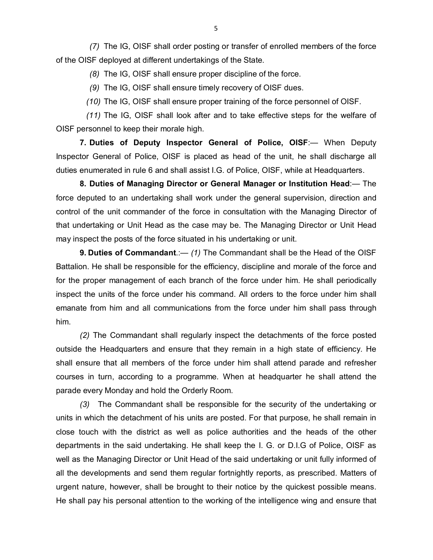*(7)* The IG, OISF shall order posting or transfer of enrolled members of the force of the OISF deployed at different undertakings of the State.

*(8)* The IG, OISF shall ensure proper discipline of the force.

*(9)* The IG, OISF shall ensure timely recovery of OISF dues.

*(10)* The IG, OISF shall ensure proper training of the force personnel of OISF.

*(11)* The IG, OISF shall look after and to take effective steps for the welfare of OISF personnel to keep their morale high.

**7. Duties of Deputy Inspector General of Police, OISF**:— When Deputy Inspector General of Police, OISF is placed as head of the unit, he shall discharge all duties enumerated in rule 6 and shall assist I.G. of Police, OISF, while at Headquarters.

**8. Duties of Managing Director or General Manager or Institution Head**:— The force deputed to an undertaking shall work under the general supervision, direction and control of the unit commander of the force in consultation with the Managing Director of that undertaking or Unit Head as the case may be. The Managing Director or Unit Head may inspect the posts of the force situated in his undertaking or unit.

**9. Duties of Commandant**.:— *(1)* The Commandant shall be the Head of the OISF Battalion. He shall be responsible for the efficiency, discipline and morale of the force and for the proper management of each branch of the force under him. He shall periodically inspect the units of the force under his command. All orders to the force under him shall emanate from him and all communications from the force under him shall pass through him.

*(2)* The Commandant shall regularly inspect the detachments of the force posted outside the Headquarters and ensure that they remain in a high state of efficiency. He shall ensure that all members of the force under him shall attend parade and refresher courses in turn, according to a programme. When at headquarter he shall attend the parade every Monday and hold the Orderly Room.

*(3)* The Commandant shall be responsible for the security of the undertaking or units in which the detachment of his units are posted. For that purpose, he shall remain in close touch with the district as well as police authorities and the heads of the other departments in the said undertaking. He shall keep the I. G. or D.I.G of Police, OISF as well as the Managing Director or Unit Head of the said undertaking or unit fully informed of all the developments and send them regular fortnightly reports, as prescribed. Matters of urgent nature, however, shall be brought to their notice by the quickest possible means. He shall pay his personal attention to the working of the intelligence wing and ensure that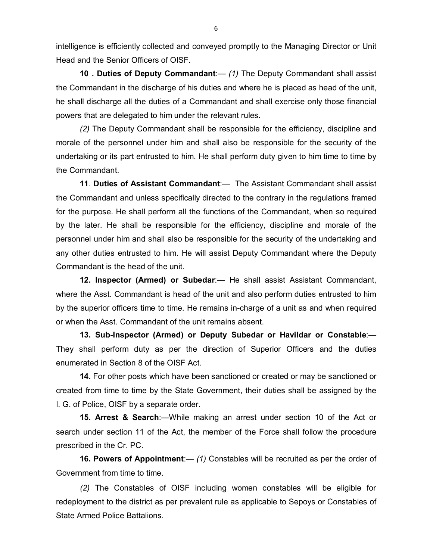intelligence is efficiently collected and conveyed promptly to the Managing Director or Unit Head and the Senior Officers of OISF.

**10 . Duties of Deputy Commandant**:— *(1)* The Deputy Commandant shall assist the Commandant in the discharge of his duties and where he is placed as head of the unit, he shall discharge all the duties of a Commandant and shall exercise only those financial powers that are delegated to him under the relevant rules.

*(2)* The Deputy Commandant shall be responsible for the efficiency, discipline and morale of the personnel under him and shall also be responsible for the security of the undertaking or its part entrusted to him. He shall perform duty given to him time to time by the Commandant.

**11**. **Duties of Assistant Commandant**:— The Assistant Commandant shall assist the Commandant and unless specifically directed to the contrary in the regulations framed for the purpose. He shall perform all the functions of the Commandant, when so required by the later. He shall be responsible for the efficiency, discipline and morale of the personnel under him and shall also be responsible for the security of the undertaking and any other duties entrusted to him. He will assist Deputy Commandant where the Deputy Commandant is the head of the unit.

**12. Inspector (Armed) or Subedar**:— He shall assist Assistant Commandant, where the Asst. Commandant is head of the unit and also perform duties entrusted to him by the superior officers time to time. He remains in-charge of a unit as and when required or when the Asst. Commandant of the unit remains absent.

**13. Sub-Inspector (Armed) or Deputy Subedar or Havildar or Constable**:— They shall perform duty as per the direction of Superior Officers and the duties enumerated in Section 8 of the OISF Act.

**14.** For other posts which have been sanctioned or created or may be sanctioned or created from time to time by the State Government, their duties shall be assigned by the I. G. of Police, OISF by a separate order.

**15. Arrest & Search**:—While making an arrest under section 10 of the Act or search under section 11 of the Act, the member of the Force shall follow the procedure prescribed in the Cr. PC.

**16. Powers of Appointment**:— *(1)* Constables will be recruited as per the order of Government from time to time.

*(2)* The Constables of OISF including women constables will be eligible for redeployment to the district as per prevalent rule as applicable to Sepoys or Constables of State Armed Police Battalions.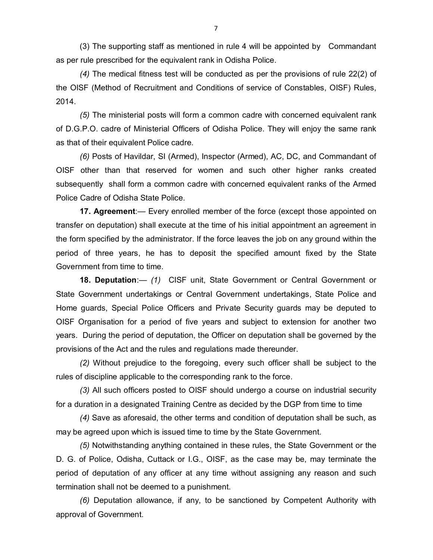(3) The supporting staff as mentioned in rule 4 will be appointed by Commandant as per rule prescribed for the equivalent rank in Odisha Police.

*(4)* The medical fitness test will be conducted as per the provisions of rule 22(2) of the OISF (Method of Recruitment and Conditions of service of Constables, OISF) Rules, 2014.

*(5)* The ministerial posts will form a common cadre with concerned equivalent rank of D.G.P.O. cadre of Ministerial Officers of Odisha Police. They will enjoy the same rank as that of their equivalent Police cadre.

*(6)* Posts of Havildar, SI (Armed), Inspector (Armed), AC, DC, and Commandant of OISF other than that reserved for women and such other higher ranks created subsequently shall form a common cadre with concerned equivalent ranks of the Armed Police Cadre of Odisha State Police.

**17. Agreement**:— Every enrolled member of the force (except those appointed on transfer on deputation) shall execute at the time of his initial appointment an agreement in the form specified by the administrator. If the force leaves the job on any ground within the period of three years, he has to deposit the specified amount fixed by the State Government from time to time.

**18. Deputation**:— *(1)* CISF unit, State Government or Central Government or State Government undertakings or Central Government undertakings, State Police and Home guards, Special Police Officers and Private Security guards may be deputed to OISF Organisation for a period of five years and subject to extension for another two years. During the period of deputation, the Officer on deputation shall be governed by the provisions of the Act and the rules and regulations made thereunder.

*(2)* Without prejudice to the foregoing, every such officer shall be subject to the rules of discipline applicable to the corresponding rank to the force.

*(3)* All such officers posted to OISF should undergo a course on industrial security for a duration in a designated Training Centre as decided by the DGP from time to time

*(4)* Save as aforesaid, the other terms and condition of deputation shall be such, as may be agreed upon which is issued time to time by the State Government.

*(5)* Notwithstanding anything contained in these rules, the State Government or the D. G. of Police, Odisha, Cuttack or I.G., OISF, as the case may be, may terminate the period of deputation of any officer at any time without assigning any reason and such termination shall not be deemed to a punishment.

*(6)* Deputation allowance, if any, to be sanctioned by Competent Authority with approval of Government.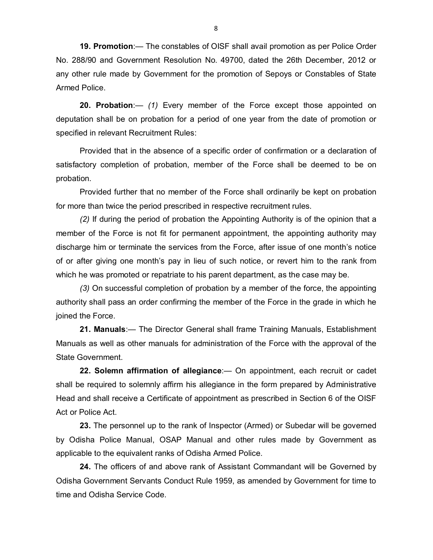**19. Promotion**:— The constables of OISF shall avail promotion as per Police Order No. 288/90 and Government Resolution No. 49700, dated the 26th December, 2012 or any other rule made by Government for the promotion of Sepoys or Constables of State Armed Police.

**20. Probation**:— *(1)* Every member of the Force except those appointed on deputation shall be on probation for a period of one year from the date of promotion or specified in relevant Recruitment Rules:

Provided that in the absence of a specific order of confirmation or a declaration of satisfactory completion of probation, member of the Force shall be deemed to be on probation.

Provided further that no member of the Force shall ordinarily be kept on probation for more than twice the period prescribed in respective recruitment rules.

*(2)* If during the period of probation the Appointing Authority is of the opinion that a member of the Force is not fit for permanent appointment, the appointing authority may discharge him or terminate the services from the Force, after issue of one month's notice of or after giving one month's pay in lieu of such notice, or revert him to the rank from which he was promoted or repatriate to his parent department, as the case may be.

*(3)* On successful completion of probation by a member of the force, the appointing authority shall pass an order confirming the member of the Force in the grade in which he joined the Force.

**21. Manuals**:— The Director General shall frame Training Manuals, Establishment Manuals as well as other manuals for administration of the Force with the approval of the State Government.

**22. Solemn affirmation of allegiance**:— On appointment, each recruit or cadet shall be required to solemnly affirm his allegiance in the form prepared by Administrative Head and shall receive a Certificate of appointment as prescribed in Section 6 of the OISF Act or Police Act.

**23.** The personnel up to the rank of Inspector (Armed) or Subedar will be governed by Odisha Police Manual, OSAP Manual and other rules made by Government as applicable to the equivalent ranks of Odisha Armed Police.

**24.** The officers of and above rank of Assistant Commandant will be Governed by Odisha Government Servants Conduct Rule 1959, as amended by Government for time to time and Odisha Service Code.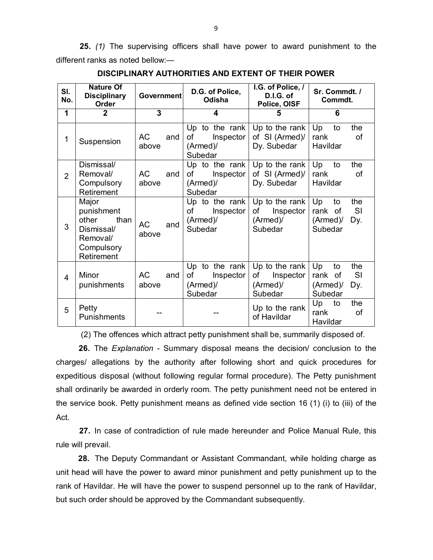**25.** *(1)* The supervising officers shall have power to award punishment to the different ranks as noted bellow:—

| SI.<br>No.     | <b>Nature Of</b><br><b>Disciplinary</b><br>Order                                           | <b>Government</b>         | D.G. of Police,<br>Odisha                                | I.G. of Police, /<br>D.I.G. of<br>Police, OISF           | Sr. Commdt. /<br>Commdt.                                              |
|----------------|--------------------------------------------------------------------------------------------|---------------------------|----------------------------------------------------------|----------------------------------------------------------|-----------------------------------------------------------------------|
| 1              | $\mathbf 2$                                                                                | 3                         | 4                                                        | 5                                                        | 6                                                                     |
| 1              | Suspension                                                                                 | <b>AC</b><br>and<br>above | Up to the rank<br>Inspector<br>οf<br>(Armed)/<br>Subedar | Up to the rank<br>of SI (Armed)/<br>Dy. Subedar          | Up<br>the<br>to<br>rank<br>οf<br>Havildar                             |
| $\overline{2}$ | Dismissal/<br>Removal/<br>Compulsory<br>Retirement                                         | <b>AC</b><br>and<br>above | Up to the rank<br>οf<br>Inspector<br>(Armed)/<br>Subedar | Up to the rank<br>of SI (Armed)/<br>Dy. Subedar          | Up<br>the<br>to<br>rank<br>οf<br>Havildar                             |
| 3              | Major<br>punishment<br>other<br>than<br>Dismissal/<br>Removal/<br>Compulsory<br>Retirement | <b>AC</b><br>and<br>above | Up to the rank<br>of<br>Inspector<br>(Armed)/<br>Subedar | Up to the rank<br>Inspector<br>оf<br>(Armed)/<br>Subedar | Up<br>the<br>to<br>rank of<br><b>SI</b><br>(Armed)/<br>Dy.<br>Subedar |
| 4              | Minor<br>punishments                                                                       | <b>AC</b><br>and<br>above | Up to the rank<br>Inspector<br>οf<br>(Armed)/<br>Subedar | Up to the rank<br>οf<br>Inspector<br>(Armed)/<br>Subedar | the<br>Up<br>to<br><b>SI</b><br>rank of<br>(Armed)/<br>Dy.<br>Subedar |
| 5              | Petty<br>Punishments                                                                       |                           |                                                          | Up to the rank<br>of Havildar                            | Up<br>the<br>to<br>rank<br>οf<br>Havildar                             |

**DISCIPLINARY AUTHORITIES AND EXTENT OF THEIR POWER**

(2) The offences which attract petty punishment shall be, summarily disposed of.

**26.** The *Explanation* - Summary disposal means the decision/ conclusion to the charges/ allegations by the authority after following short and quick procedures for expeditious disposal (without following regular formal procedure). The Petty punishment shall ordinarily be awarded in orderly room. The petty punishment need not be entered in the service book. Petty punishment means as defined vide section 16 (1) (i) to (iii) of the Act.

**27.** In case of contradiction of rule made hereunder and Police Manual Rule, this rule will prevail.

**28.** The Deputy Commandant or Assistant Commandant, while holding charge as unit head will have the power to award minor punishment and petty punishment up to the rank of Havildar. He will have the power to suspend personnel up to the rank of Havildar, but such order should be approved by the Commandant subsequently.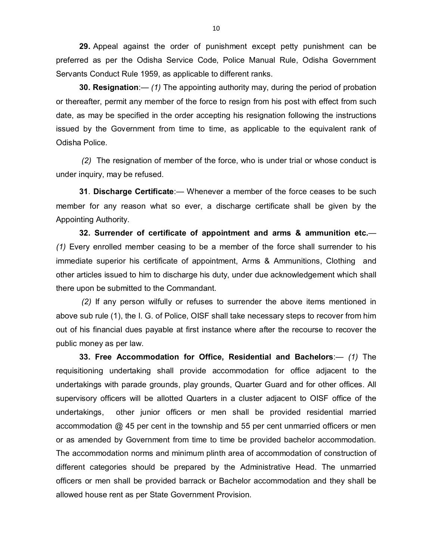**29.** Appeal against the order of punishment except petty punishment can be preferred as per the Odisha Service Code, Police Manual Rule, Odisha Government Servants Conduct Rule 1959, as applicable to different ranks.

**30. Resignation**:— *(1)* The appointing authority may, during the period of probation or thereafter, permit any member of the force to resign from his post with effect from such date, as may be specified in the order accepting his resignation following the instructions issued by the Government from time to time, as applicable to the equivalent rank of Odisha Police.

*(2)* The resignation of member of the force, who is under trial or whose conduct is under inquiry, may be refused.

**31**. **Discharge Certificate**:— Whenever a member of the force ceases to be such member for any reason what so ever, a discharge certificate shall be given by the Appointing Authority.

**32. Surrender of certificate of appointment and arms & ammunition etc.**— *(1)* Every enrolled member ceasing to be a member of the force shall surrender to his immediate superior his certificate of appointment, Arms & Ammunitions, Clothing and other articles issued to him to discharge his duty, under due acknowledgement which shall there upon be submitted to the Commandant.

*(2)* If any person wilfully or refuses to surrender the above items mentioned in above sub rule (1), the I. G. of Police, OISF shall take necessary steps to recover from him out of his financial dues payable at first instance where after the recourse to recover the public money as per law.

**33. Free Accommodation for Office, Residential and Bachelors**:— *(1)* The requisitioning undertaking shall provide accommodation for office adjacent to the undertakings with parade grounds, play grounds, Quarter Guard and for other offices. All supervisory officers will be allotted Quarters in a cluster adjacent to OISF office of the undertakings, other junior officers or men shall be provided residential married accommodation @ 45 per cent in the township and 55 per cent unmarried officers or men or as amended by Government from time to time be provided bachelor accommodation. The accommodation norms and minimum plinth area of accommodation of construction of different categories should be prepared by the Administrative Head. The unmarried officers or men shall be provided barrack or Bachelor accommodation and they shall be allowed house rent as per State Government Provision.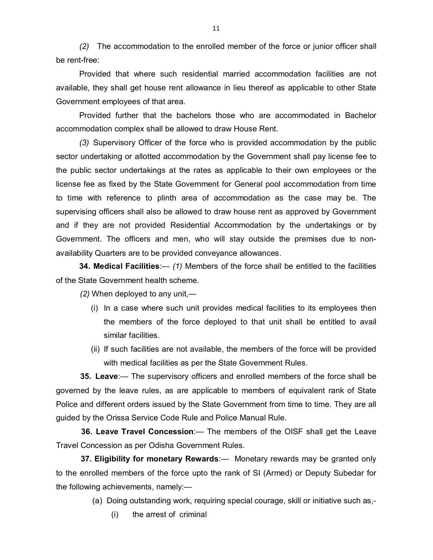*(2)* The accommodation to the enrolled member of the force or junior officer shall be rent-free:

Provided that where such residential married accommodation facilities are not available, they shall get house rent allowance in lieu thereof as applicable to other State Government employees of that area.

Provided further that the bachelors those who are accommodated in Bachelor accommodation complex shall be allowed to draw House Rent.

*(3)* Supervisory Officer of the force who is provided accommodation by the public sector undertaking or allotted accommodation by the Government shall pay license fee to the public sector undertakings at the rates as applicable to their own employees or the license fee as fixed by the State Government for General pool accommodation from time to time with reference to plinth area of accommodation as the case may be. The supervising officers shall also be allowed to draw house rent as approved by Government and if they are not provided Residential Accommodation by the undertakings or by Government. The officers and men, who will stay outside the premises due to nonavailability Quarters are to be provided conveyance allowances.

**34. Medical Facilities**:— *(1)* Members of the force shall be entitled to the facilities of the State Government health scheme.

*(2)* When deployed to any unit,—

- (i) In a case where such unit provides medical facilities to its employees then the members of the force deployed to that unit shall be entitled to avail similar facilities.
- (ii) If such facilities are not available, the members of the force will be provided with medical facilities as per the State Government Rules.

**35. Leave**:— The supervisory officers and enrolled members of the force shall be governed by the leave rules, as are applicable to members of equivalent rank of State Police and different orders issued by the State Government from time to time. They are all guided by the Orissa Service Code Rule and Police Manual Rule.

**36. Leave Travel Concession**:— The members of the OISF shall get the Leave Travel Concession as per Odisha Government Rules.

**37. Eligibility for monetary Rewards**:— Monetary rewards may be granted only to the enrolled members of the force upto the rank of SI (Armed) or Deputy Subedar for the following achievements, namely:—

(a) Doing outstanding work, requiring special courage, skill or initiative such as,-

(i) the arrest of criminal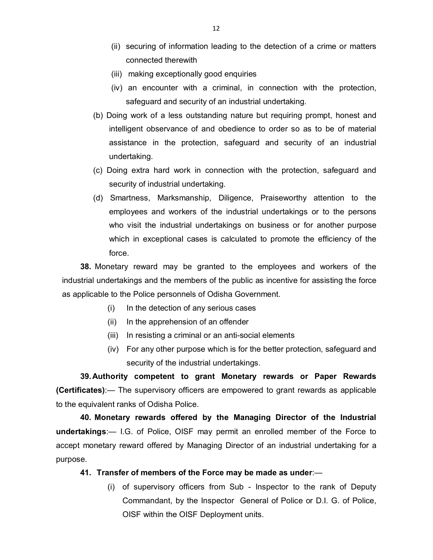- (ii) securing of information leading to the detection of a crime or matters connected therewith
- (iii) making exceptionally good enquiries
- (iv) an encounter with a criminal, in connection with the protection, safeguard and security of an industrial undertaking.
- (b) Doing work of a less outstanding nature but requiring prompt, honest and intelligent observance of and obedience to order so as to be of material assistance in the protection, safeguard and security of an industrial undertaking.
- (c) Doing extra hard work in connection with the protection, safeguard and security of industrial undertaking.
- (d) Smartness, Marksmanship, Diligence, Praiseworthy attention to the employees and workers of the industrial undertakings or to the persons who visit the industrial undertakings on business or for another purpose which in exceptional cases is calculated to promote the efficiency of the force.

**38.** Monetary reward may be granted to the employees and workers of the industrial undertakings and the members of the public as incentive for assisting the force as applicable to the Police personnels of Odisha Government.

- (i) In the detection of any serious cases
- (ii) In the apprehension of an offender
- (iii) In resisting a criminal or an anti-social elements
- (iv) For any other purpose which is for the better protection, safeguard and security of the industrial undertakings.

**39.Authority competent to grant Monetary rewards or Paper Rewards (Certificates)**:— The supervisory officers are empowered to grant rewards as applicable to the equivalent ranks of Odisha Police.

**40. Monetary rewards offered by the Managing Director of the Industrial undertakings**:— I.G. of Police, OISF may permit an enrolled member of the Force to accept monetary reward offered by Managing Director of an industrial undertaking for a purpose.

#### **41. Transfer of members of the Force may be made as under**:—

(i) of supervisory officers from Sub - Inspector to the rank of Deputy Commandant, by the Inspector General of Police or D.I. G. of Police, OISF within the OISF Deployment units.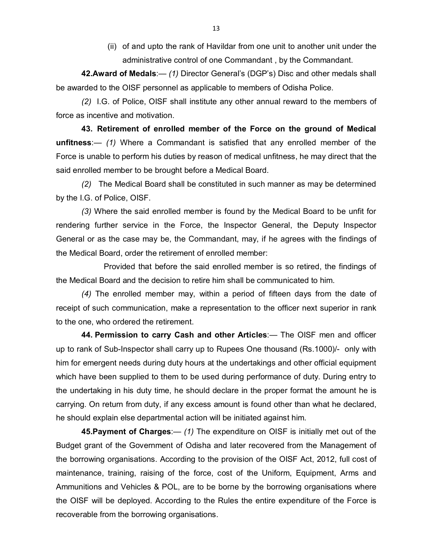(ii) of and upto the rank of Havildar from one unit to another unit under the administrative control of one Commandant , by the Commandant.

**42.Award of Medals**:— *(1)* Director General's (DGP's) Disc and other medals shall be awarded to the OISF personnel as applicable to members of Odisha Police.

*(2)* I.G. of Police, OISF shall institute any other annual reward to the members of force as incentive and motivation.

**43. Retirement of enrolled member of the Force on the ground of Medical unfitness**:— *(1)* Where a Commandant is satisfied that any enrolled member of the Force is unable to perform his duties by reason of medical unfitness, he may direct that the said enrolled member to be brought before a Medical Board.

*(2)* The Medical Board shall be constituted in such manner as may be determined by the I.G. of Police, OISF.

*(3)* Where the said enrolled member is found by the Medical Board to be unfit for rendering further service in the Force, the Inspector General, the Deputy Inspector General or as the case may be, the Commandant, may, if he agrees with the findings of the Medical Board, order the retirement of enrolled member:

Provided that before the said enrolled member is so retired, the findings of the Medical Board and the decision to retire him shall be communicated to him.

*(4)* The enrolled member may, within a period of fifteen days from the date of receipt of such communication, make a representation to the officer next superior in rank to the one, who ordered the retirement.

**44. Permission to carry Cash and other Articles**:— The OISF men and officer up to rank of Sub-Inspector shall carry up to Rupees One thousand (Rs.1000)/- only with him for emergent needs during duty hours at the undertakings and other official equipment which have been supplied to them to be used during performance of duty. During entry to the undertaking in his duty time, he should declare in the proper format the amount he is carrying. On return from duty, if any excess amount is found other than what he declared, he should explain else departmental action will be initiated against him.

**45.Payment of Charges**:— *(1)* The expenditure on OISF is initially met out of the Budget grant of the Government of Odisha and later recovered from the Management of the borrowing organisations. According to the provision of the OISF Act, 2012, full cost of maintenance, training, raising of the force, cost of the Uniform, Equipment, Arms and Ammunitions and Vehicles & POL, are to be borne by the borrowing organisations where the OISF will be deployed. According to the Rules the entire expenditure of the Force is recoverable from the borrowing organisations.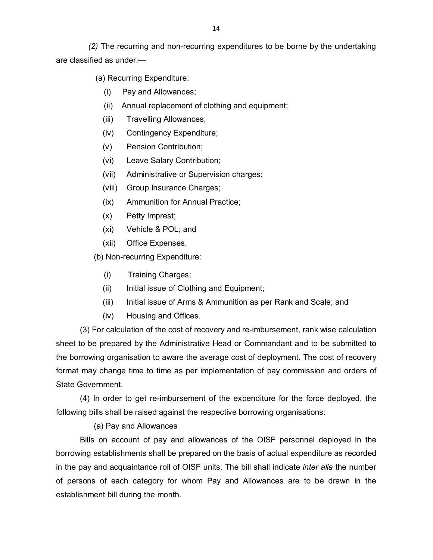*(2)* The recurring and non-recurring expenditures to be borne by the undertaking are classified as under:—

(a) Recurring Expenditure:

- (i) Pay and Allowances;
- (ii) Annual replacement of clothing and equipment;
- (iii) Travelling Allowances;
- (iv) Contingency Expenditure;
- (v) Pension Contribution;
- (vi) Leave Salary Contribution;
- (vii) Administrative or Supervision charges;
- (viii) Group Insurance Charges;
- (ix) Ammunition for Annual Practice;
- (x) Petty Imprest;
- (xi) Vehicle & POL; and
- (xii) Office Expenses.

(b) Non-recurring Expenditure:

- (i) Training Charges;
- (ii) Initial issue of Clothing and Equipment;
- (iii) Initial issue of Arms & Ammunition as per Rank and Scale; and
- (iv) Housing and Offices.

 (3) For calculation of the cost of recovery and re-imbursement, rank wise calculation sheet to be prepared by the Administrative Head or Commandant and to be submitted to the borrowing organisation to aware the average cost of deployment. The cost of recovery format may change time to time as per implementation of pay commission and orders of State Government.

(4) In order to get re-imbursement of the expenditure for the force deployed, the following bills shall be raised against the respective borrowing organisations:

## (a) Pay and Allowances

Bills on account of pay and allowances of the OISF personnel deployed in the borrowing establishments shall be prepared on the basis of actual expenditure as recorded in the pay and acquaintance roll of OISF units. The bill shall indicate *inter alia* the number of persons of each category for whom Pay and Allowances are to be drawn in the establishment bill during the month.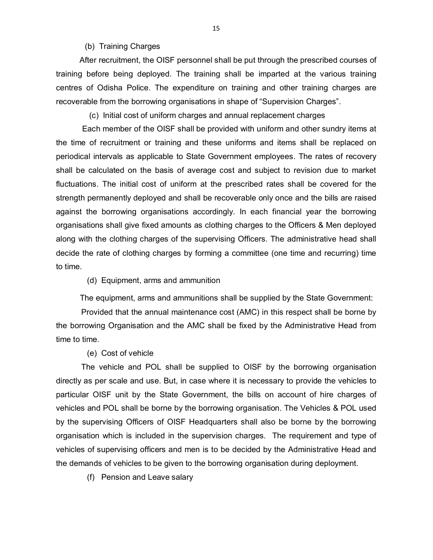### (b) Training Charges

After recruitment, the OISF personnel shall be put through the prescribed courses of training before being deployed. The training shall be imparted at the various training centres of Odisha Police. The expenditure on training and other training charges are recoverable from the borrowing organisations in shape of "Supervision Charges".

(c) Initial cost of uniform charges and annual replacement charges

Each member of the OISF shall be provided with uniform and other sundry items at the time of recruitment or training and these uniforms and items shall be replaced on periodical intervals as applicable to State Government employees. The rates of recovery shall be calculated on the basis of average cost and subject to revision due to market fluctuations. The initial cost of uniform at the prescribed rates shall be covered for the strength permanently deployed and shall be recoverable only once and the bills are raised against the borrowing organisations accordingly. In each financial year the borrowing organisations shall give fixed amounts as clothing charges to the Officers & Men deployed along with the clothing charges of the supervising Officers. The administrative head shall decide the rate of clothing charges by forming a committee (one time and recurring) time to time.

(d) Equipment, arms and ammunition

The equipment, arms and ammunitions shall be supplied by the State Government:

 Provided that the annual maintenance cost (AMC) in this respect shall be borne by the borrowing Organisation and the AMC shall be fixed by the Administrative Head from time to time.

#### (e) Cost of vehicle

 The vehicle and POL shall be supplied to OISF by the borrowing organisation directly as per scale and use. But, in case where it is necessary to provide the vehicles to particular OISF unit by the State Government, the bills on account of hire charges of vehicles and POL shall be borne by the borrowing organisation. The Vehicles & POL used by the supervising Officers of OISF Headquarters shall also be borne by the borrowing organisation which is included in the supervision charges. The requirement and type of vehicles of supervising officers and men is to be decided by the Administrative Head and the demands of vehicles to be given to the borrowing organisation during deployment.

(f) Pension and Leave salary

15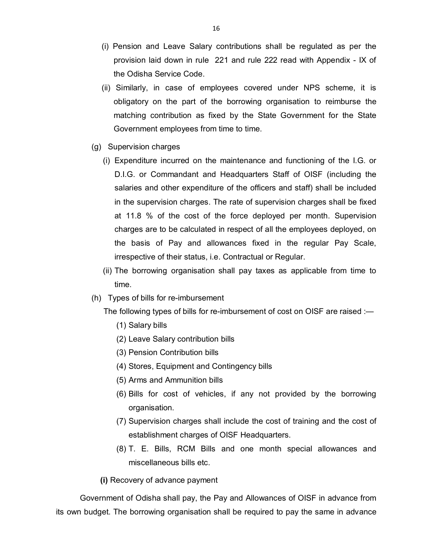- (i) Pension and Leave Salary contributions shall be regulated as per the provision laid down in rule 221 and rule 222 read with Appendix - IX of the Odisha Service Code.
- (ii) Similarly, in case of employees covered under NPS scheme, it is obligatory on the part of the borrowing organisation to reimburse the matching contribution as fixed by the State Government for the State Government employees from time to time.
- (g) Supervision charges
	- (i) Expenditure incurred on the maintenance and functioning of the I.G. or D.I.G. or Commandant and Headquarters Staff of OISF (including the salaries and other expenditure of the officers and staff) shall be included in the supervision charges. The rate of supervision charges shall be fixed at 11.8 % of the cost of the force deployed per month. Supervision charges are to be calculated in respect of all the employees deployed, on the basis of Pay and allowances fixed in the regular Pay Scale, irrespective of their status, i.e. Contractual or Regular.
	- (ii) The borrowing organisation shall pay taxes as applicable from time to time.
- (h) Types of bills for re-imbursement

The following types of bills for re-imbursement of cost on OISF are raised :—

- (1) Salary bills
- (2) Leave Salary contribution bills
- (3) Pension Contribution bills
- (4) Stores, Equipment and Contingency bills
- (5) Arms and Ammunition bills
- (6) Bills for cost of vehicles, if any not provided by the borrowing organisation.
- (7) Supervision charges shall include the cost of training and the cost of establishment charges of OISF Headquarters.
- (8) T. E. Bills, RCM Bills and one month special allowances and miscellaneous bills etc.
- **(i)** Recovery of advance payment

Government of Odisha shall pay, the Pay and Allowances of OISF in advance from its own budget. The borrowing organisation shall be required to pay the same in advance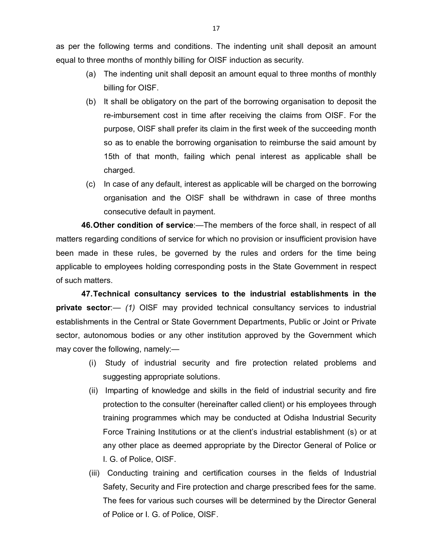as per the following terms and conditions. The indenting unit shall deposit an amount equal to three months of monthly billing for OISF induction as security.

- (a) The indenting unit shall deposit an amount equal to three months of monthly billing for OISF.
- (b) It shall be obligatory on the part of the borrowing organisation to deposit the re-imbursement cost in time after receiving the claims from OISF. For the purpose, OISF shall prefer its claim in the first week of the succeeding month so as to enable the borrowing organisation to reimburse the said amount by 15th of that month, failing which penal interest as applicable shall be charged.
- (c) In case of any default, interest as applicable will be charged on the borrowing organisation and the OISF shall be withdrawn in case of three months consecutive default in payment.

**46.Other condition of service**:—The members of the force shall, in respect of all matters regarding conditions of service for which no provision or insufficient provision have been made in these rules, be governed by the rules and orders for the time being applicable to employees holding corresponding posts in the State Government in respect of such matters.

**47.Technical consultancy services to the industrial establishments in the private sector**:— *(1)* OISF may provided technical consultancy services to industrial establishments in the Central or State Government Departments, Public or Joint or Private sector, autonomous bodies or any other institution approved by the Government which may cover the following, namely:—

- (i) Study of industrial security and fire protection related problems and suggesting appropriate solutions.
- (ii) Imparting of knowledge and skills in the field of industrial security and fire protection to the consulter (hereinafter called client) or his employees through training programmes which may be conducted at Odisha Industrial Security Force Training Institutions or at the client's industrial establishment (s) or at any other place as deemed appropriate by the Director General of Police or I. G. of Police, OISF.
- (iii) Conducting training and certification courses in the fields of Industrial Safety, Security and Fire protection and charge prescribed fees for the same. The fees for various such courses will be determined by the Director General of Police or I. G. of Police, OISF.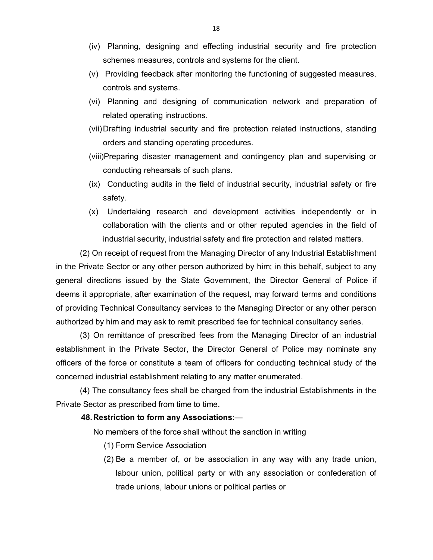- (iv) Planning, designing and effecting industrial security and fire protection schemes measures, controls and systems for the client.
- (v) Providing feedback after monitoring the functioning of suggested measures, controls and systems.
- (vi) Planning and designing of communication network and preparation of related operating instructions.
- (vii)Drafting industrial security and fire protection related instructions, standing orders and standing operating procedures.
- (viii)Preparing disaster management and contingency plan and supervising or conducting rehearsals of such plans.
- (ix) Conducting audits in the field of industrial security, industrial safety or fire safety.
- (x) Undertaking research and development activities independently or in collaboration with the clients and or other reputed agencies in the field of industrial security, industrial safety and fire protection and related matters.

(2) On receipt of request from the Managing Director of any Industrial Establishment in the Private Sector or any other person authorized by him; in this behalf, subject to any general directions issued by the State Government, the Director General of Police if deems it appropriate, after examination of the request, may forward terms and conditions of providing Technical Consultancy services to the Managing Director or any other person authorized by him and may ask to remit prescribed fee for technical consultancy series.

(3) On remittance of prescribed fees from the Managing Director of an industrial establishment in the Private Sector, the Director General of Police may nominate any officers of the force or constitute a team of officers for conducting technical study of the concerned industrial establishment relating to any matter enumerated.

(4) The consultancy fees shall be charged from the industrial Establishments in the Private Sector as prescribed from time to time.

### **48.Restriction to form any Associations**:—

No members of the force shall without the sanction in writing

- (1) Form Service Association
- (2) Be a member of, or be association in any way with any trade union, labour union, political party or with any association or confederation of trade unions, labour unions or political parties or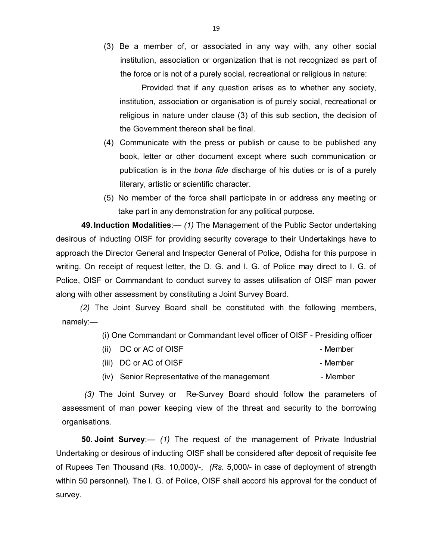(3) Be a member of, or associated in any way with, any other social institution, association or organization that is not recognized as part of the force or is not of a purely social, recreational or religious in nature:

 Provided that if any question arises as to whether any society, institution, association or organisation is of purely social, recreational or religious in nature under clause (3) of this sub section, the decision of the Government thereon shall be final.

- (4) Communicate with the press or publish or cause to be published any book, letter or other document except where such communication or publication is in the *bona fide* discharge of his duties or is of a purely literary, artistic or scientific character.
- (5) No member of the force shall participate in or address any meeting or take part in any demonstration for any political purpose**.**

**49.Induction Modalities**:— *(1)* The Management of the Public Sector undertaking desirous of inducting OISF for providing security coverage to their Undertakings have to approach the Director General and Inspector General of Police, Odisha for this purpose in writing. On receipt of request letter, the D. G. and I. G. of Police may direct to I. G. of Police, OISF or Commandant to conduct survey to asses utilisation of OISF man power along with other assessment by constituting a Joint Survey Board.

*(2)* The Joint Survey Board shall be constituted with the following members, namely:—

(i) One Commandant or Commandant level officer of OISF - Presiding officer

|  | $(ii)$ DC or AC of OISF                      | - Member |
|--|----------------------------------------------|----------|
|  | (iii) DC or AC of OISF                       | - Member |
|  | (iv) Senior Representative of the management | - Member |

 *(3)* The Joint Survey or Re-Survey Board should follow the parameters of assessment of man power keeping view of the threat and security to the borrowing organisations.

**50. Joint Survey**:— *(1)* The request of the management of Private Industrial Undertaking or desirous of inducting OISF shall be considered after deposit of requisite fee of Rupees Ten Thousand (Rs. 10,000)/-, *(Rs.* 5,000/- in case of deployment of strength within 50 personnel)*.* The I. G. of Police, OISF shall accord his approval for the conduct of survey.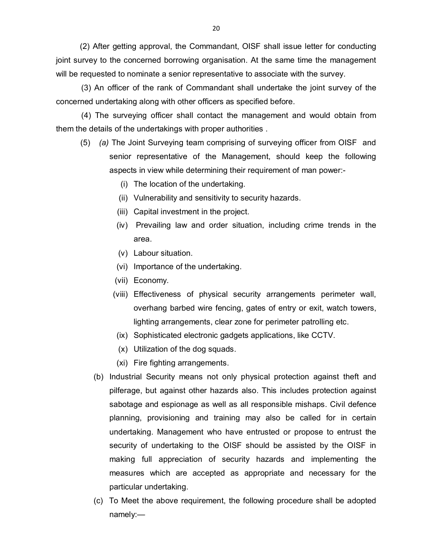(2) After getting approval, the Commandant, OISF shall issue letter for conducting joint survey to the concerned borrowing organisation. At the same time the management will be requested to nominate a senior representative to associate with the survey.

 (3) An officer of the rank of Commandant shall undertake the joint survey of the concerned undertaking along with other officers as specified before.

 (4) The surveying officer shall contact the management and would obtain from them the details of the undertakings with proper authorities .

- (5) *(a)* The Joint Surveying team comprising of surveying officer from OISF and senior representative of the Management, should keep the following aspects in view while determining their requirement of man power:-
	- (i) The location of the undertaking.
	- (ii) Vulnerability and sensitivity to security hazards.
	- (iii) Capital investment in the project.
	- (iv) Prevailing law and order situation, including crime trends in the area.
	- (v) Labour situation.
	- (vi) Importance of the undertaking.
	- (vii) Economy.
	- (viii) Effectiveness of physical security arrangements perimeter wall, overhang barbed wire fencing, gates of entry or exit, watch towers, lighting arrangements, clear zone for perimeter patrolling etc.
	- (ix) Sophisticated electronic gadgets applications, like CCTV.
	- (x) Utilization of the dog squads.
	- (xi) Fire fighting arrangements.
	- (b) Industrial Security means not only physical protection against theft and pilferage, but against other hazards also. This includes protection against sabotage and espionage as well as all responsible mishaps. Civil defence planning, provisioning and training may also be called for in certain undertaking. Management who have entrusted or propose to entrust the security of undertaking to the OISF should be assisted by the OISF in making full appreciation of security hazards and implementing the measures which are accepted as appropriate and necessary for the particular undertaking.
	- (c) To Meet the above requirement, the following procedure shall be adopted namely:—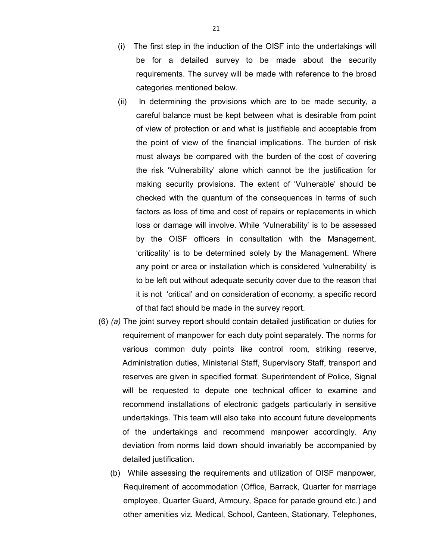- (i) The first step in the induction of the OISF into the undertakings will be for a detailed survey to be made about the security requirements. The survey will be made with reference to the broad categories mentioned below.
- (ii) In determining the provisions which are to be made security, a careful balance must be kept between what is desirable from point of view of protection or and what is justifiable and acceptable from the point of view of the financial implications. The burden of risk must always be compared with the burden of the cost of covering the risk 'Vulnerability' alone which cannot be the justification for making security provisions. The extent of 'Vulnerable' should be checked with the quantum of the consequences in terms of such factors as loss of time and cost of repairs or replacements in which loss or damage will involve. While 'Vulnerability' is to be assessed by the OISF officers in consultation with the Management, 'criticality' is to be determined solely by the Management. Where any point or area or installation which is considered 'vulnerability' is to be left out without adequate security cover due to the reason that it is not 'critical' and on consideration of economy, a specific record of that fact should be made in the survey report.
- (6) *(a)* The joint survey report should contain detailed justification or duties for requirement of manpower for each duty point separately. The norms for various common duty points like control room, striking reserve, Administration duties, Ministerial Staff, Supervisory Staff, transport and reserves are given in specified format. Superintendent of Police, Signal will be requested to depute one technical officer to examine and recommend installations of electronic gadgets particularly in sensitive undertakings. This team will also take into account future developments of the undertakings and recommend manpower accordingly. Any deviation from norms laid down should invariably be accompanied by detailed justification.
	- (b) While assessing the requirements and utilization of OISF manpower, Requirement of accommodation (Office, Barrack, Quarter for marriage employee, Quarter Guard, Armoury, Space for parade ground etc.) and other amenities viz. Medical, School, Canteen, Stationary, Telephones,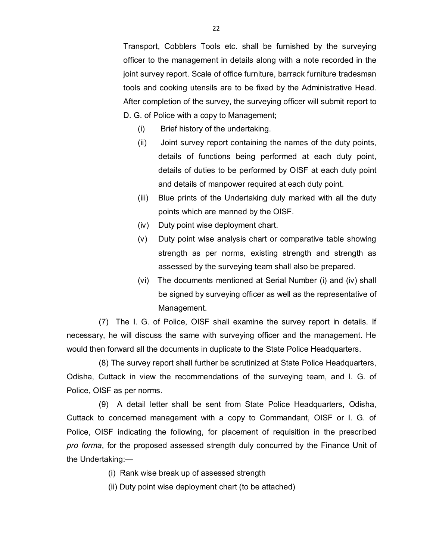Transport, Cobblers Tools etc. shall be furnished by the surveying officer to the management in details along with a note recorded in the joint survey report. Scale of office furniture, barrack furniture tradesman tools and cooking utensils are to be fixed by the Administrative Head. After completion of the survey, the surveying officer will submit report to D. G. of Police with a copy to Management;

- (i) Brief history of the undertaking.
- (ii) Joint survey report containing the names of the duty points, details of functions being performed at each duty point, details of duties to be performed by OISF at each duty point and details of manpower required at each duty point.
- (iii) Blue prints of the Undertaking duly marked with all the duty points which are manned by the OISF.
- (iv) Duty point wise deployment chart.
- (v) Duty point wise analysis chart or comparative table showing strength as per norms, existing strength and strength as assessed by the surveying team shall also be prepared.
- (vi) The documents mentioned at Serial Number (i) and (iv) shall be signed by surveying officer as well as the representative of Management.

(7) The I. G. of Police, OISF shall examine the survey report in details. If necessary, he will discuss the same with surveying officer and the management. He would then forward all the documents in duplicate to the State Police Headquarters.

(8) The survey report shall further be scrutinized at State Police Headquarters, Odisha, Cuttack in view the recommendations of the surveying team, and I. G. of Police, OISF as per norms.

(9)A detail letter shall be sent from State Police Headquarters, Odisha, Cuttack to concerned management with a copy to Commandant, OISF or I. G. of Police, OISF indicating the following, for placement of requisition in the prescribed *pro forma*, for the proposed assessed strength duly concurred by the Finance Unit of the Undertaking:—

- (i) Rank wise break up of assessed strength
- (ii) Duty point wise deployment chart (to be attached)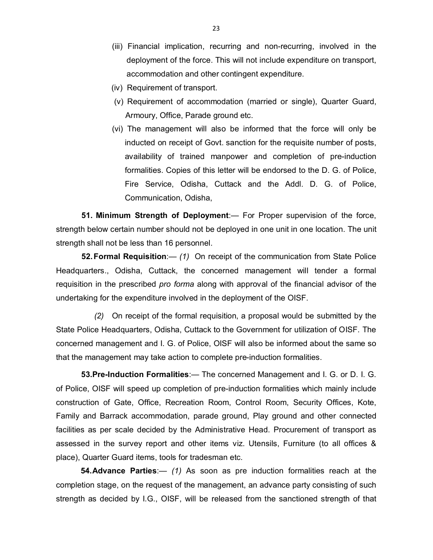- (iii) Financial implication, recurring and non-recurring, involved in the deployment of the force. This will not include expenditure on transport, accommodation and other contingent expenditure.
- (iv) Requirement of transport.
- (v) Requirement of accommodation (married or single), Quarter Guard, Armoury, Office, Parade ground etc.
- (vi) The management will also be informed that the force will only be inducted on receipt of Govt. sanction for the requisite number of posts, availability of trained manpower and completion of pre-induction formalities. Copies of this letter will be endorsed to the D. G. of Police, Fire Service, Odisha, Cuttack and the Addl. D. G. of Police, Communication, Odisha,

**51. Minimum Strength of Deployment**:— For Proper supervision of the force, strength below certain number should not be deployed in one unit in one location. The unit strength shall not be less than 16 personnel.

**52.Formal Requisition**:— *(1)* On receipt of the communication from State Police Headquarters., Odisha, Cuttack, the concerned management will tender a formal requisition in the prescribed *pro forma* along with approval of the financial advisor of the undertaking for the expenditure involved in the deployment of the OISF.

 *(2)* On receipt of the formal requisition, a proposal would be submitted by the State Police Headquarters, Odisha, Cuttack to the Government for utilization of OISF. The concerned management and I. G. of Police, OISF will also be informed about the same so that the management may take action to complete pre-induction formalities.

**53.Pre-Induction Formalities**:— The concerned Management and I. G. or D. I. G. of Police, OISF will speed up completion of pre-induction formalities which mainly include construction of Gate, Office, Recreation Room, Control Room, Security Offices, Kote, Family and Barrack accommodation, parade ground, Play ground and other connected facilities as per scale decided by the Administrative Head. Procurement of transport as assessed in the survey report and other items viz. Utensils, Furniture (to all offices & place), Quarter Guard items, tools for tradesman etc.

**54.Advance Parties**:— *(1)* As soon as pre induction formalities reach at the completion stage, on the request of the management, an advance party consisting of such strength as decided by I.G., OISF, will be released from the sanctioned strength of that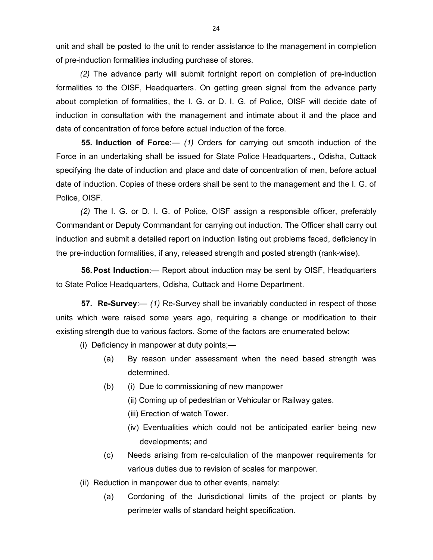unit and shall be posted to the unit to render assistance to the management in completion of pre-induction formalities including purchase of stores.

*(2)* The advance party will submit fortnight report on completion of pre-induction formalities to the OISF, Headquarters. On getting green signal from the advance party about completion of formalities, the I. G. or D. I. G. of Police, OISF will decide date of induction in consultation with the management and intimate about it and the place and date of concentration of force before actual induction of the force.

**55. Induction of Force**:— *(1)* Orders for carrying out smooth induction of the Force in an undertaking shall be issued for State Police Headquarters., Odisha, Cuttack specifying the date of induction and place and date of concentration of men, before actual date of induction. Copies of these orders shall be sent to the management and the I. G. of Police, OISF.

*(2)* The I. G. or D. I. G. of Police, OISF assign a responsible officer, preferably Commandant or Deputy Commandant for carrying out induction. The Officer shall carry out induction and submit a detailed report on induction listing out problems faced, deficiency in the pre-induction formalities, if any, released strength and posted strength (rank-wise).

**56.Post Induction**:— Report about induction may be sent by OISF, Headquarters to State Police Headquarters, Odisha, Cuttack and Home Department.

**57. Re-Survey**:— *(1)* Re-Survey shall be invariably conducted in respect of those units which were raised some years ago, requiring a change or modification to their existing strength due to various factors. Some of the factors are enumerated below:

(i) Deficiency in manpower at duty points;—

- (a) By reason under assessment when the need based strength was determined.
- (b) (i) Due to commissioning of new manpower
	- (ii) Coming up of pedestrian or Vehicular or Railway gates.
	- (iii) Erection of watch Tower.
	- (iv) Eventualities which could not be anticipated earlier being new developments; and
- (c) Needs arising from re-calculation of the manpower requirements for various duties due to revision of scales for manpower.
- (ii) Reduction in manpower due to other events, namely:
	- (a) Cordoning of the Jurisdictional limits of the project or plants by perimeter walls of standard height specification.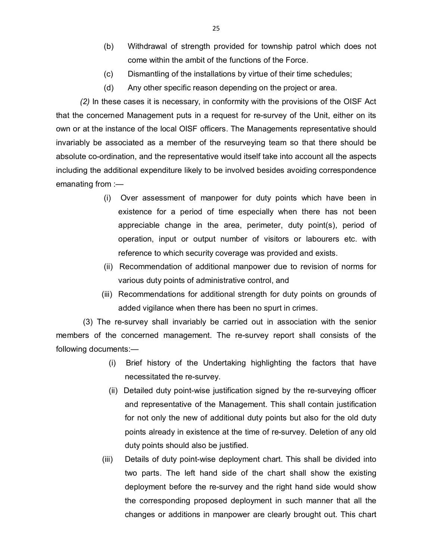- (b) Withdrawal of strength provided for township patrol which does not come within the ambit of the functions of the Force.
- (c) Dismantling of the installations by virtue of their time schedules;
- (d) Any other specific reason depending on the project or area.

*(2)* In these cases it is necessary, in conformity with the provisions of the OISF Act that the concerned Management puts in a request for re-survey of the Unit, either on its own or at the instance of the local OISF officers. The Managements representative should invariably be associated as a member of the resurveying team so that there should be absolute co-ordination, and the representative would itself take into account all the aspects including the additional expenditure likely to be involved besides avoiding correspondence emanating from :—

- (i) Over assessment of manpower for duty points which have been in existence for a period of time especially when there has not been appreciable change in the area, perimeter, duty point(s), period of operation, input or output number of visitors or labourers etc. with reference to which security coverage was provided and exists.
- (ii) Recommendation of additional manpower due to revision of norms for various duty points of administrative control, and
- (iii) Recommendations for additional strength for duty points on grounds of added vigilance when there has been no spurt in crimes.

(3) The re-survey shall invariably be carried out in association with the senior members of the concerned management. The re-survey report shall consists of the following documents:—

- (i) Brief history of the Undertaking highlighting the factors that have necessitated the re-survey.
- (ii) Detailed duty point-wise justification signed by the re-surveying officer and representative of the Management. This shall contain justification for not only the new of additional duty points but also for the old duty points already in existence at the time of re-survey. Deletion of any old duty points should also be justified.
- (iii) Details of duty point-wise deployment chart. This shall be divided into two parts. The left hand side of the chart shall show the existing deployment before the re-survey and the right hand side would show the corresponding proposed deployment in such manner that all the changes or additions in manpower are clearly brought out. This chart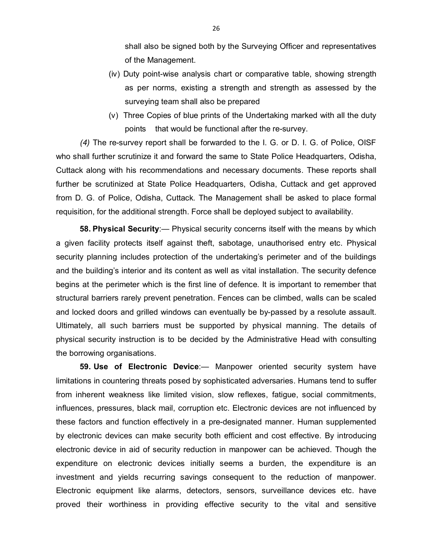shall also be signed both by the Surveying Officer and representatives of the Management.

- (iv) Duty point-wise analysis chart or comparative table, showing strength as per norms, existing a strength and strength as assessed by the surveying team shall also be prepared
- (v) Three Copies of blue prints of the Undertaking marked with all the duty points that would be functional after the re-survey.

*(4)* The re-survey report shall be forwarded to the I. G. or D. I. G. of Police, OISF who shall further scrutinize it and forward the same to State Police Headquarters, Odisha, Cuttack along with his recommendations and necessary documents. These reports shall further be scrutinized at State Police Headquarters, Odisha, Cuttack and get approved from D. G. of Police, Odisha, Cuttack. The Management shall be asked to place formal requisition, for the additional strength. Force shall be deployed subject to availability.

**58. Physical Security**:— Physical security concerns itself with the means by which a given facility protects itself against theft, sabotage, unauthorised entry etc. Physical security planning includes protection of the undertaking's perimeter and of the buildings and the building's interior and its content as well as vital installation. The security defence begins at the perimeter which is the first line of defence. It is important to remember that structural barriers rarely prevent penetration. Fences can be climbed, walls can be scaled and locked doors and grilled windows can eventually be by-passed by a resolute assault. Ultimately, all such barriers must be supported by physical manning. The details of physical security instruction is to be decided by the Administrative Head with consulting the borrowing organisations.

**59. Use of Electronic Device**:— Manpower oriented security system have limitations in countering threats posed by sophisticated adversaries. Humans tend to suffer from inherent weakness like limited vision, slow reflexes, fatigue, social commitments, influences, pressures, black mail, corruption etc. Electronic devices are not influenced by these factors and function effectively in a pre-designated manner. Human supplemented by electronic devices can make security both efficient and cost effective. By introducing electronic device in aid of security reduction in manpower can be achieved. Though the expenditure on electronic devices initially seems a burden, the expenditure is an investment and yields recurring savings consequent to the reduction of manpower. Electronic equipment like alarms, detectors, sensors, surveillance devices etc. have proved their worthiness in providing effective security to the vital and sensitive

26